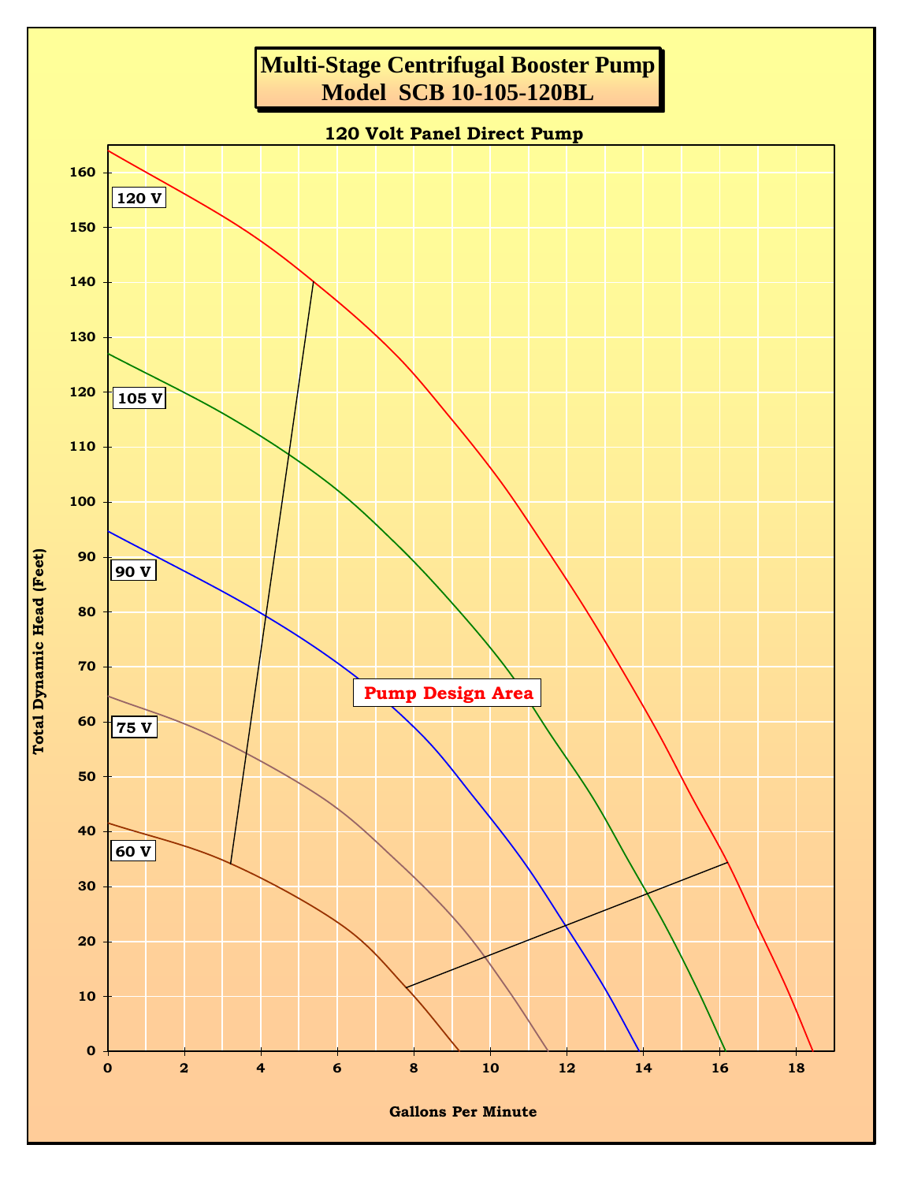